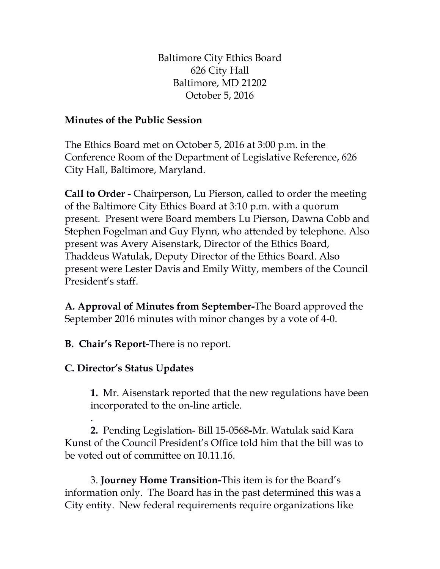Baltimore City Ethics Board 626 City Hall Baltimore, MD 21202 October 5, 2016

## **Minutes of the Public Session**

The Ethics Board met on October 5, 2016 at 3:00 p.m. in the Conference Room of the Department of Legislative Reference, 626 City Hall, Baltimore, Maryland.

**Call to Order -** Chairperson, Lu Pierson, called to order the meeting of the Baltimore City Ethics Board at 3:10 p.m. with a quorum present. Present were Board members Lu Pierson, Dawna Cobb and Stephen Fogelman and Guy Flynn, who attended by telephone. Also present was Avery Aisenstark, Director of the Ethics Board, Thaddeus Watulak, Deputy Director of the Ethics Board. Also present were Lester Davis and Emily Witty, members of the Council President's staff.

**A. Approval of Minutes from September-**The Board approved the September 2016 minutes with minor changes by a vote of 4-0.

**B. Chair's Report-**There is no report.

## **C. Director's Status Updates**

**1.** Mr. Aisenstark reported that the new regulations have been incorporated to the on-line article.

. **2.** Pending Legislation- Bill 15-0568**-**Mr. Watulak said Kara Kunst of the Council President's Office told him that the bill was to be voted out of committee on 10.11.16.

3. **Journey Home Transition-**This item is for the Board's information only. The Board has in the past determined this was a City entity. New federal requirements require organizations like